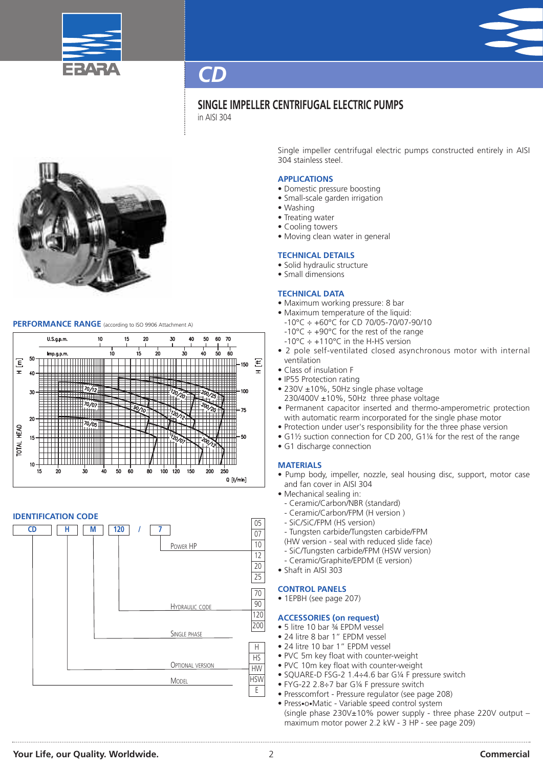



# **SINGLE IMPELLER CENTRIFUGAL ELECTRIC PUMPS**

in AISI 304



# **PERFORMANCE RANGE** (according to ISO <sup>9906</sup> Attachment A)



# **IDENTIFICATION CODE**



Single impeller centrifugal electric pumps constructed entirely in AISI 304 stainless steel.

# **APPLICATIONS**

- Domestic pressure boosting
- Small-scale garden irrigation
- Washing
- Treating water
- Cooling towers
- Moving clean water in general

### **TECHNICAL DETAILS**

- Solid hydraulic structure
- Small dimensions

### **TECHNICAL DATA**

- Maximum working pressure: 8 bar
- Maximum temperature of the liquid:
- -10°C ÷ +60°C for CD 70/05-70/07-90/10
- -10°C ÷ +90°C for the rest of the range
- $-10^{\circ}$ C  $\div$  +110°C in the H-HS version
- 2 pole self-ventilated closed asynchronous motor with internal ventilation
- Class of insulation F
- IP55 Protection rating
- 230V ±10%, 50Hz single phase voltage
- 230/400V ±10%, 50Hz three phase voltage
- Permanent capacitor inserted and thermo-amperometric protection with automatic rearm incorporated for the single phase motor
- Protection under user's responsibility for the three phase version
- G1½ suction connection for CD 200, G1¼ for the rest of the range
- G1 discharge connection

### **MATERIALS**

- Pump body, impeller, nozzle, seal housing disc, support, motor case and fan cover in AISI 304
- Mechanical sealing in:
	- Ceramic/Carbon/NBR (standard)
	- Ceramic/Carbon/FPM (H version )
	- SiC/SiC/FPM (HS version)
	- Tungsten carbide/Tungsten carbide/FPM
- (HW version seal with reduced slide face)
- SiC/Tungsten carbide/FPM (HSW version)
- Ceramic/Graphite/EPDM (E version)
- Shaft in AISI 303

# **CONTROL PANELS**

• 1EPBH (see page 207)

# **ACCESSORIES (on request)**

- 5 litre 10 bar ¾ EPDM vessel
- 24 litre 8 bar 1" EPDM vessel
- 24 litre 10 bar 1" EPDM vessel
- PVC 5m key float with counter-weight
- PVC 10m key float with counter-weight
- SQUARE-D FSG-2 1.4÷4.6 bar G¼ F pressure switch
- FYG-22 2.8÷7 bar G¼ F pressure switch
- Presscomfort Pressure regulator (see page 208)
- Press•o•Matic Variable speed control system (single phase 230V±10% power supply - three phase 220V output – maximum motor power 2.2 kW - 3 HP - see page 209)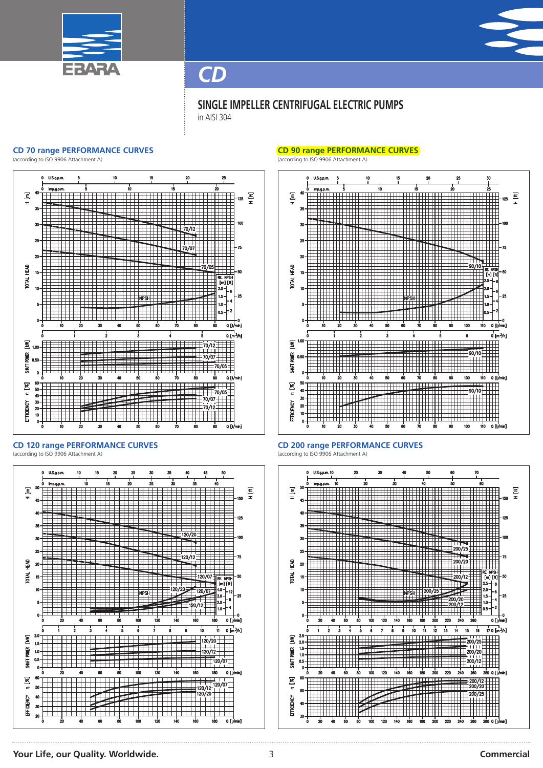



# **SINGLE IMPELLER CENTRIFUGAL ELECTRIC PUMPS** in AISI 304

#### **CD 70 range PERFORMANCE CURVES**

(according to ISO 9906 Attachment A)



**CD 120 range PERFORMANCE CURVES** (according to ISO 9906 Attachment A)



### **CD 90 range PERFORMANCE CURVES**

(according to ISO 9906 Attachment A)





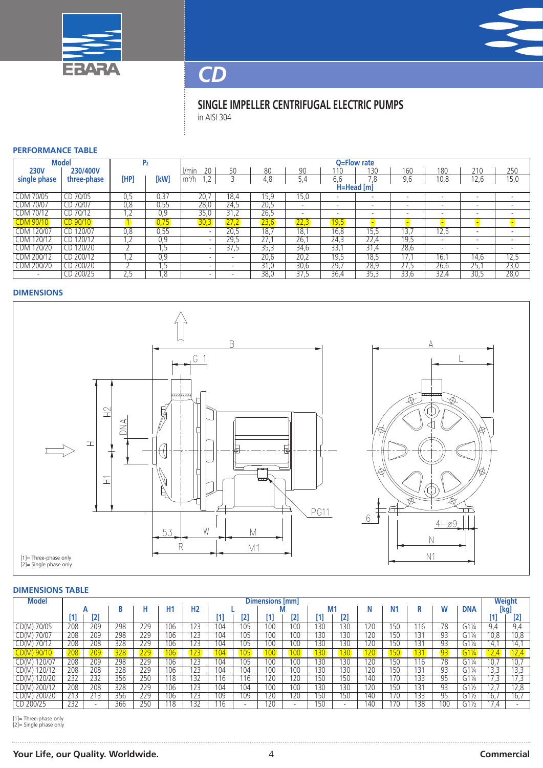



# **SINGLE IMPELLER CENTRIFUGAL ELECTRIC PUMPS** in AISI 304

### **PERFORMANCE TABLE**

| <b>Model</b>         |              | P2             |      | Q=Flow rate                    |      |      |       |      |                          |                          |                          |                          |                          |
|----------------------|--------------|----------------|------|--------------------------------|------|------|-------|------|--------------------------|--------------------------|--------------------------|--------------------------|--------------------------|
| <b>230V</b>          | 230/400V     |                |      | 20<br>l/min                    | 50   | 80   | 90    | ' 10 | 13C                      | 160                      | 180                      | 210                      | 250                      |
| single phase         | three-phase  | [HP]           | [kW] | $\lambda$<br>m <sup>3</sup> /h |      | 4,8  | 5,4   | 6.6  | 7.8                      | 9,6                      | 10,8                     | 12,6                     | 15,0                     |
|                      |              |                |      |                                |      |      |       |      | H=Head [m]               |                          |                          |                          |                          |
| 70/05<br>CDM         | 70/05<br>СD  | 0.5            | 0.37 | 20.                            | 18,4 | 15.9 | 15.0  |      | -                        |                          |                          | -                        | $\overline{\phantom{a}}$ |
| 70/07<br><b>CDM</b>  | CD 70/07     | 0,8            | 0,55 | 28,0                           | 24,5 | 20,5 |       |      | $\overline{\phantom{a}}$ | -                        | $\overline{\phantom{0}}$ | $\overline{\phantom{a}}$ | $\overline{\phantom{0}}$ |
| 70/12<br><b>CDM</b>  | CD 70/12     | $\cdot$ $\sim$ | 0,9  | 35,0                           | 31,2 | 26,5 |       | -    | $\overline{\phantom{a}}$ | $\overline{\phantom{a}}$ | $\overline{\phantom{0}}$ | $\overline{\phantom{0}}$ |                          |
| <b>DM 90/10</b>      | CD 90/10     |                | 0.75 | 30,3                           | 27,2 | 23,6 | 22,31 | 19,5 |                          |                          |                          |                          |                          |
| 120/07<br>CDM        | 120/07<br>LΒ | 0.8            | 0,55 | $\overline{\phantom{a}}$       | 20,5 | 18.7 | 18.1  | 16,8 | 5.5                      | 3.                       | 12,5                     | $\overline{\phantom{a}}$ |                          |
| 120/12<br>CDM        | 120/12<br>CD | $\cdot$ $\sim$ | 0,9  | $\overline{\phantom{0}}$       | 29,5 | 27.7 | 26.   | 24,3 | 22,4                     | 19,5                     | $\overline{\phantom{0}}$ | $\overline{\phantom{a}}$ | $\overline{\phantom{a}}$ |
| 120/20<br><b>CDM</b> | CD 120/20    |                |      | $\overline{\phantom{0}}$       | 37,5 | 35.3 | 34.6  | 33.  | 31.4                     | 28,6                     | $\overline{\phantom{0}}$ | $\overline{\phantom{0}}$ | $\overline{\phantom{0}}$ |
| 200/12<br><b>CDM</b> | CD 200/12    |                | 0,9  |                                |      | 20,6 | 20,2  | 19.5 | 18,5                     | 17.1                     | 16,                      | 14.6                     | 12,5                     |
| CDM 200/20           | CD 200/20    |                |      | $\overline{\phantom{0}}$       |      | 31,0 | 30,6  | 29,7 | 28,9                     | 27,5                     | 26,6                     | 25.                      | 23,0                     |
|                      | CD 200/25    | ۵.5            | 8,   | $\overline{\phantom{0}}$       |      | 38,0 | 37,5  | 36,4 | 35,3                     | 33,6                     | 32,4                     | 30,5                     | 28,0                     |

### **DIMENSIONS**



### **DIMENSIONS TABLE**

| Model           | Dimensions [mm] |                          |     |     |     |                |              |                  |     |                          |     | Weight                   |                 |                |     |     |                 |                             |      |
|-----------------|-----------------|--------------------------|-----|-----|-----|----------------|--------------|------------------|-----|--------------------------|-----|--------------------------|-----------------|----------------|-----|-----|-----------------|-----------------------------|------|
|                 |                 |                          | B   | н   | H1  | H <sub>2</sub> |              |                  |     |                          | M1  |                          |                 | N <sub>1</sub> |     | W   | <b>DNA</b>      |                             | [kg] |
|                 |                 | 2                        |     |     |     |                |              | [2]              |     |                          |     | [2]                      |                 |                |     |     |                 |                             | [2]  |
| 70/05<br>CD(M)  | 208             | 209                      | 298 | 229 | 106 | 123            | 04           | 105              | 100 | 100                      | 130 | 30                       | '20             | 50             | 16  | 78  | $G1\%$          | 9.4                         | 9,4  |
| 70/07<br>CD(M)  | 208             | 209                      | 298 | 229 | 106 | 123            | 04           | 105              | 100 | 100                      | 130 | 130                      | 120             | '50            | 131 | 93  | $G1\frac{1}{4}$ | 10,8                        | 10,8 |
| 70/12<br>CD(M)  | 208             | 208                      | 328 | 229 | 106 | 123            | 104          | 105              | 100 | 100                      | 130 | 130                      | 120             | 150            | 131 | 93  | $G1\%$          | 14,1                        | 14,1 |
| CD(M) 90/10     | 208             | <b>209</b>               | 328 | 29' | 106 | 123            | 04           | 105 <sub>1</sub> |     | 100                      | 130 | 30                       | 20 <sup>°</sup> |                |     | 93  | $G1\frac{1}{4}$ | 12.4                        | 12,4 |
| i20/07          | 208             | 209                      | 298 | 229 | 106 | 123            | 104          | 105              | 100 | 100                      | 130 | 30                       | 20              | 50             | 16  | 78  | $G1\%$          | 10,                         | 10,7 |
| 120/12<br>CD(M) | 208             | 208                      | 328 | 229 | 106 | 123            | 104          | 104              | 100 | 100                      | 130 | 130                      | 120             | 150            | 131 | 93  | $G1\frac{1}{4}$ | 13,3                        | 13,3 |
| 120/20<br>CD(M) | 232             | 232                      | 356 | 250 | 118 | 132            | 16           | 116              | 120 | 120                      | 150 | 50                       | 140             | 170            | 133 | 95  | $G1\frac{1}{4}$ | 17,3                        | 17,3 |
| 200/12<br>CD(M) | 208             | 208                      | 328 | 229 | 106 | 123            | 104          | 104              | 100 | 100                      | 130 | 130                      | 120             | 50             | 131 | 93  | $G1\frac{1}{2}$ | $\sim$ $\sim$ $\sim$<br>۱Ζ. | 12,8 |
| CD(M) 200/20    | 213             | 213                      | 356 | 229 | 106 | 123            | $ 09\rangle$ | 109              | 120 | 120                      | 150 | 50                       | 140             | 70             | 133 | 95  | $G1\frac{1}{2}$ | 16.                         | 16,7 |
| CD 200/25       | 232             | $\overline{\phantom{0}}$ | 366 | 250 | 18  | 132            | 16           | . .              | 120 | $\overline{\phantom{a}}$ | 150 | $\overline{\phantom{0}}$ | 140             | 70             | 38  | 100 | $G1\frac{1}{2}$ | 17.4                        |      |
|                 |                 |                          |     |     |     |                |              |                  |     |                          |     |                          |                 |                |     |     |                 |                             |      |

[1]= Three-phase only [2]= Single phase only

# **Your Life, our Quality. Worldwide.** 4 **Commercial**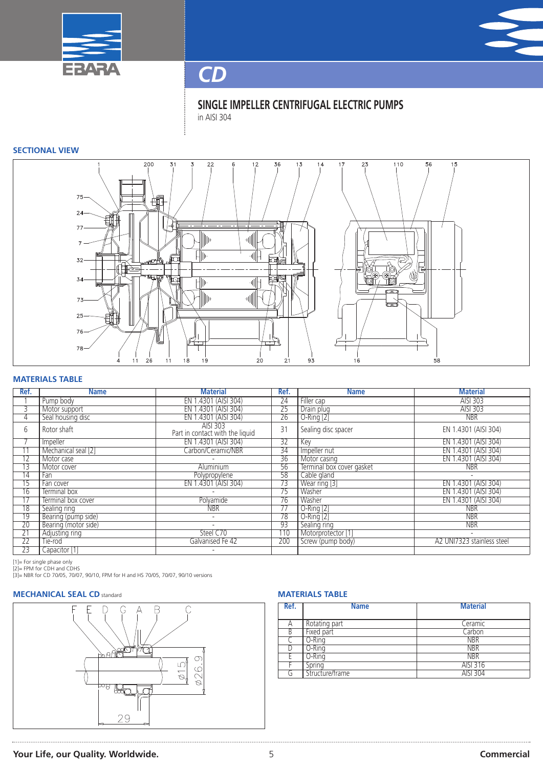



**SINGLE IMPELLER CENTRIFUGAL ELECTRIC PUMPS** in AISI 304

# **SECTIONAL VIEW**



# **MATERIALS TABLE**

| Ref.            | <b>Name</b>          | <b>Material</b>                             | Ref.            | <b>Name</b>               | <b>Material</b>            |
|-----------------|----------------------|---------------------------------------------|-----------------|---------------------------|----------------------------|
|                 | Pump body            | EN 1.4301 (AISI 304)                        | $\overline{24}$ | Filler cap                | AISI 303                   |
| 3               | Motor support        | EN 1.4301 (AISI 304)                        | 25              | Drain plug                | AISI 303                   |
| 4               | Seal housing disc    | EN 1.4301 (AISI 304)                        | $\overline{26}$ | $O-Ring [2]$              | <b>NBR</b>                 |
| 6               | Rotor shaft          | AISI 303<br>Part in contact with the liquid | 31              | Sealing disc spacer       | EN 1.4301 (AISI 304)       |
|                 | Impeller             | EN 1.4301 (AISI 304)                        | 32              | Key                       | EN 1.4301 (AISI 304)       |
| $\overline{11}$ | Mechanical seal [2]  | Carbon/Ceramic/NBR                          | 34              | Impeller nut              | EN 1.4301 (AISI 304)       |
| 12              | Motor case           |                                             | 36              | Motor casing              | EN 1.4301 (AISI 304)       |
| $\overline{13}$ | Motor cover          | Aluminium                                   | 56              | Terminal box cover gasket | <b>NBR</b>                 |
| 14              | Fan                  | Polypropylene                               | 58              | Cable gland               | $\overline{\phantom{a}}$   |
| 15              | Fan cover            | EN 1.4301 (AISI 304)                        | 73              | Wear ring [3]             | EN 1.4301 (AISI 304)       |
| 16              | Terminal box         |                                             | 75              | Washer                    | EN 1.4301 (AISI 304)       |
| 17              | Terminal box cover   | Polvamide                                   | $\overline{76}$ | Washer                    | EN 1.4301 (AISI 304)       |
| $\overline{18}$ | Sealing ring         | <b>NBR</b>                                  | 77              | $O-Ring [2]$              | <b>NBR</b>                 |
| 19              | Bearing (pump side)  | $\overline{\phantom{a}}$                    | 78              | O-Ring [2]                | <b>NBR</b>                 |
| 20              | Bearing (motor side) | $\overline{a}$                              | 93              | Sealing ring              | <b>NBR</b>                 |
| $\overline{21}$ | Adjusting ring       | Steel C70                                   | 110             | Motorprotector [1]        | $\overline{\phantom{a}}$   |
| $\overline{22}$ | Tie-rod              | Galvanised Fe 42                            | 200             | Screw (pump body)         | A2 UNI7323 stainless steel |
| 23              | Capacitor [1]        |                                             |                 |                           |                            |

[1]= For single phase only<br>[2]= FPM for CDH and CDHS<br>[3]= NBR for CD 70/05, 70/07, 90/10, FPM for H and HS 70/05, 70/07, 90/10 versions

# **MECHANICAL SEAL CD** standard **MATERIALS MATERIALS TABLE**



| Ref. | <b>Name</b>     | <b>Material</b> |
|------|-----------------|-----------------|
| А    | Rotating part   | Ceramic         |
| B    | Fixed part      | Carbon          |
|      | O-Rina          | <b>NBR</b>      |
|      | O-Ring          | <b>NBR</b>      |
|      | O-Ring          | <b>NBR</b>      |
|      | Spring          | AISI 316        |
| a    | Structure/frame | <b>AISI 304</b> |